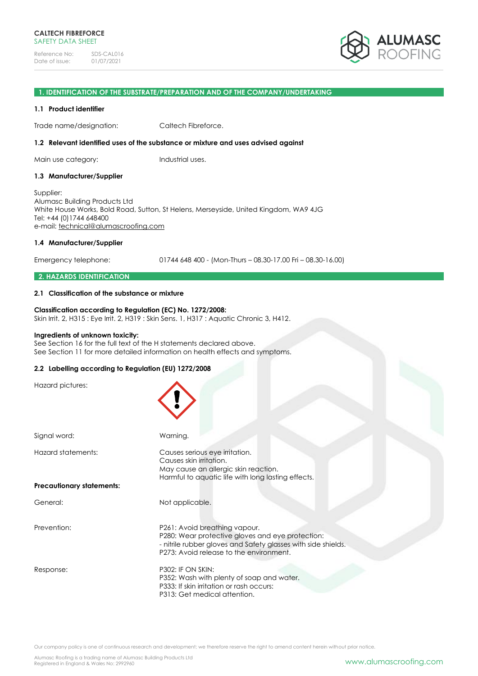

#### **1. IDENTIFICATION OF THE SUBSTRATE/PREPARATION AND OF THE COMPANY/UNDERTAKING**

#### **1.1 Product identifier**

Trade name/designation: Caltech Fibreforce.

#### **1.2 Relevant identified uses of the substance or mixture and uses advised against**

Main use category: Industrial uses.

#### **1.3 Manufacturer/Supplier**

Supplier: Alumasc Building Products Ltd White House Works, Bold Road, Sutton, St Helens, Merseyside, United Kingdom, WA9 4JG Tel: +44 (0)1744 648400 e-mail: [technical@alumascroofing.com](mailto:technical@alumascroofing.com)

#### **1.4 Manufacturer/Supplier**

Emergency telephone: 01744 648 400 - (Mon-Thurs – 08.30-17.00 Fri – 08.30-16.00)

#### **2. HAZARDS IDENTIFICATION**

#### **2.1 Classification of the substance or mixture**

#### **Classification according to Regulation (EC) No. 1272/2008:** Skin Irrit. 2, H315 : Eye Irrit. 2, H319 : Skin Sens. 1, H317 : Aquatic Chronic 3, H412.

#### **Ingredients of unknown toxicity:**

See Section 16 for the full text of the H statements declared above. See Section 11 for more detailed information on health effects and symptoms.

# **2.2 Labelling according to Regulation (EU) 1272/2008**

| Signal word:                     | Warning.                                                                                                                                                                                      |
|----------------------------------|-----------------------------------------------------------------------------------------------------------------------------------------------------------------------------------------------|
| Hazard statements:               | Causes serious eye irritation.<br>Causes skin irritation.<br>May cause an allergic skin reaction.<br>Harmful to aquatic life with long lasting effects.                                       |
| <b>Precautionary statements:</b> |                                                                                                                                                                                               |
| General:                         | Not applicable.                                                                                                                                                                               |
| Prevention:                      | P261: Avoid breathing vapour.<br>P280: Wear protective gloves and eye protection:<br>- nitrile rubber gloves and Safety glasses with side shields.<br>P273: Avoid release to the environment. |
| Response:                        | <b>P302: IF ON SKIN:</b><br>P352: Wash with plenty of soap and water.<br>P333: If skin irritation or rash occurs:<br>P313: Get medical attention.                                             |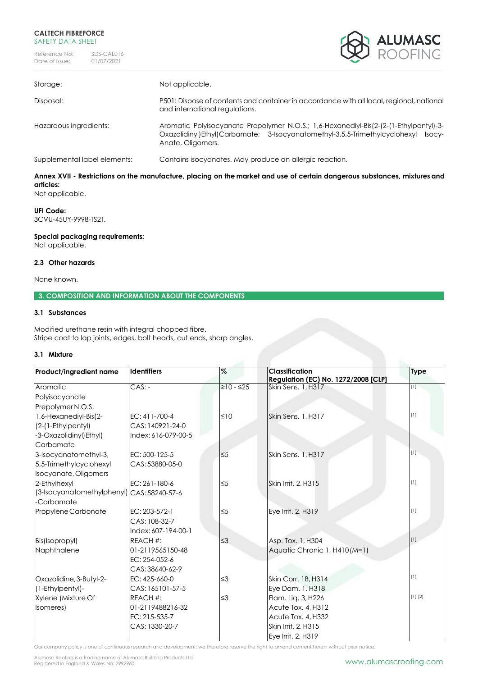Reference No: SDS-CAL016<br>Date of issue: 01/07/2021 Date of issue:



| Storage:                     | Not applicable.                                                                                                                                                                                    |
|------------------------------|----------------------------------------------------------------------------------------------------------------------------------------------------------------------------------------------------|
| Disposal:                    | P501: Dispose of contents and container in accordance with all local, regional, national<br>and international regulations.                                                                         |
| Hazardous ingredients:       | Aromatic Polyisocyanate Prepolymer N.O.S.; 1,6-Hexanediyl-Bis(2-(2-(1-Ethylpentyl)-3-<br>Oxazolidinyl)Ethyl)Carbamate; 3-Isocyanatomethyl-3,5,5-Trimethylcyclohexyl<br>Isocy-<br>Anate, Oligomers. |
| Supplemental label elements: | Contains isocyanates. May produce an allergic reaction.                                                                                                                                            |

# **Annex XVII - Restrictions on the manufacture, placing on the market and use of certain dangerous substances, mixtures and articles:**

Not applicable.

# **UFI Code:**

3CVU-45UY-9998-TS2T.

#### **Special packaging requirements:**

Not applicable.

# **2.3 Other hazards**

None known.

# **3. COMPOSITION AND INFORMATION ABOUT THE COMPONENTS**

# **3.1 Substances**

Modified urethane resin with integral chopped fibre. Stripe coat to lap joints, edges, bolt heads, cut ends, sharp angles.

#### **3.1 Mixture**

| Product/ingredient name                    | <b>Identifiers</b>  | %           | <b>Classification</b><br><b>Regulation (EC) No. 1272/2008 [CLP]</b> | <b>Type</b> |
|--------------------------------------------|---------------------|-------------|---------------------------------------------------------------------|-------------|
| Aromatic                                   | $CAS: -$            | $≥10 - ≤25$ | Skin Sens. 1, H317                                                  | $\boxed{1}$ |
| Polyisocyanate                             |                     |             |                                                                     |             |
| Prepolymer N.O.S.                          |                     |             |                                                                     |             |
| 1,6-Hexanediyl-Bis(2-                      | EC: 411-700-4       | $\leq 10$   | Skin Sens. 1, H317                                                  | $[1]$       |
| (2-(1-Ethylpentyl)                         | CAS: 140921-24-0    |             |                                                                     |             |
| -3-Oxazolidinyl) Ethyl)                    | Index: 616-079-00-5 |             |                                                                     |             |
| Carbamate                                  |                     |             |                                                                     |             |
| 3-Isocyanatomethyl-3,                      | EC: 500-125-5       | $\leq 5$    | Skin Sens. 1. H317                                                  | $[1]$       |
| 5,5-Trimethylcyclohexyl                    | CAS: 53880-05-0     |             |                                                                     |             |
| Isocyanate, Oligomers                      |                     |             |                                                                     |             |
| 2-Ethylhexyl                               | EC: 261-180-6       | $\leq 5$    | Skin Irrit. 2, H315                                                 | $[1]$       |
| (3-Isocyanatomethylphenyl) CAS: 58240-57-6 |                     |             |                                                                     |             |
| -Carbamate                                 |                     |             |                                                                     |             |
| Propylene Carbonate                        | EC: 203-572-1       | $\leq 5$    | Eye Irrit. 2, H319                                                  | $[1]$       |
|                                            | CAS: 108-32-7       |             |                                                                     |             |
|                                            | Index: 607-194-00-1 |             |                                                                     |             |
| Bis(Isopropyl)                             | REACH #:            | $\leq$ 3    | Asp. Tox. 1, H304                                                   | $[1]$       |
| Naphthalene                                | 01-2119565150-48    |             | Aquatic Chronic 1, H410 (M=1)                                       |             |
|                                            | EC: 254-052-6       |             |                                                                     |             |
|                                            | CAS: 38640-62-9     |             |                                                                     |             |
| Oxazolidine, 3-Butyl-2-                    | EC: 425-660-0       | $\leq$ 3    | Skin Corr. 1B, H314                                                 | $[1]$       |
| (1-Ethylpentyl)-                           | CAS: 165101-57-5    |             | Eye Dam. 1, H318                                                    |             |
| Xylene (Mixture Of                         | REACH #:            | $\leq$ 3    | Flam. Lig. 3, H226                                                  | [1] [2]     |
| Isomeres)                                  | 01-2119488216-32    |             | Acute Tox. 4, H312                                                  |             |
|                                            | EC: 215-535-7       |             | Acute Tox. 4, H332                                                  |             |
|                                            | CAS: 1330-20-7      |             | Skin Irrit. 2, H315                                                 |             |
|                                            |                     |             | Eye Irrit. 2, H319                                                  |             |

Our company policy is one of continuous research and development; we therefore reserve the right to amend content herein without prior notice.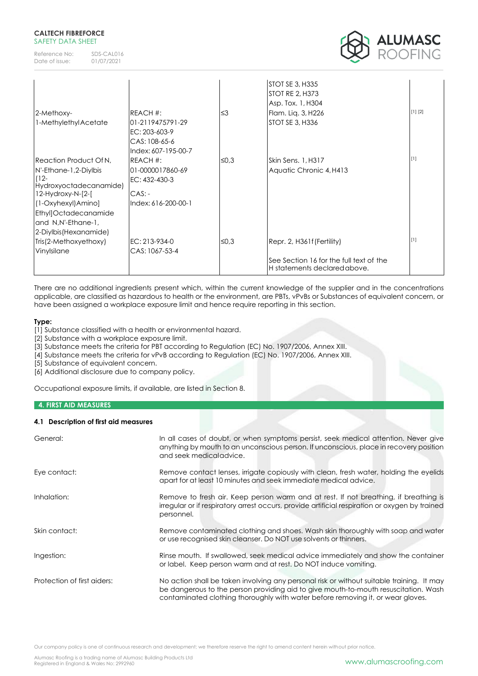Reference No: SDS-CAL016<br>Date of issue: 01/07/2021 Date of issue:



| 2-Methoxy-<br>1-Methylethyl Acetate                                                                                 | REACH #:<br>01-2119475791-29<br>EC: 203-603-9             | '≤3  | STOT SE 3, H335<br><b>STOT RE 2, H373</b><br>Asp. Tox. 1, H304<br>Flam. Liq. 3, H226<br><b>STOT SE 3, H336</b> | [1] [2] |
|---------------------------------------------------------------------------------------------------------------------|-----------------------------------------------------------|------|----------------------------------------------------------------------------------------------------------------|---------|
|                                                                                                                     | CAS: 108-65-6<br>Index: 607-195-00-7                      |      |                                                                                                                |         |
| Reaction Product Of N,<br>N'-Ethane-1,2-Diylbis<br>$(12 -$<br>Hydroxyoctadecanamide)<br>$12$ -Hydroxy-N- $[2$ - $[$ | REACH #:<br>01-0000017860-69<br>EC: 432-430-3<br>$CAS: -$ | ≤0,3 | Skin Sens. 1, H317<br>Aquatic Chronic 4, H413                                                                  |         |
| (1-Oxyhexyl) Amino]<br>Ethyl]Octadecanamide<br>and N,N'-Ethane-1,<br>2-Diylbis (Hexanamide)                         | Index: 616-200-00-1                                       |      |                                                                                                                |         |
| Tris(2-Methoxyethoxy)<br>Vinylsilane                                                                                | EC: 213-934-0<br>CAS: 1067-53-4                           | ≤0,3 | Repr. 2, H361f (Fertility)<br>See Section 16 for the full text of the<br>H statements declared above.          |         |

There are no additional ingredients present which, within the current knowledge of the supplier and in the concentrations applicable, are classified as hazardous to health or the environment, are PBTs, vPvBs or Substances of equivalent concern, or have been assigned a workplace exposure limit and hence require reporting in this section.

# **Type:**

[1] Substance classified with a health or environmental hazard.

[2] Substance with a workplace exposure limit.

[3] Substance meets the criteria for PBT according to Regulation (EC) No. 1907/2006, Annex XIII.

[4] Substance meets the criteria for vPvB according to Regulation (EC) No. 1907/2006, Annex XIII.

[5] Substance of equivalent concern.

[6] Additional disclosure due to company policy.

Occupational exposure limits, if available, are listed in Section 8.

# **4. FIRST AID MEASURES**

# **4.1 Description of first aid measures**

| General:                    | In all cases of doubt, or when symptoms persist, seek medical attention. Never give<br>anything by mouth to an unconscious person. If unconscious, place in recovery position<br>and seek medicaladvice.                                                            |
|-----------------------------|---------------------------------------------------------------------------------------------------------------------------------------------------------------------------------------------------------------------------------------------------------------------|
| Eye contact:                | Remove contact lenses, irrigate copiously with clean, fresh water, holding the eyelids<br>apart for at least 10 minutes and seek immediate medical advice.                                                                                                          |
| Inhalation:                 | Remove to fresh air. Keep person warm and at rest. If not breathing, if breathing is<br>irregular or if respiratory arrest occurs, provide artificial respiration or oxygen by trained<br>personnel.                                                                |
| Skin contact:               | Remove contaminated clothing and shoes. Wash skin thoroughly with soap and water<br>or use recognised skin cleanser. Do NOT use solvents or thinners.                                                                                                               |
| Ingestion:                  | Rinse mouth. If swallowed, seek medical advice immediately and show the container<br>or label. Keep person warm and at rest. Do NOT induce vomiting.                                                                                                                |
| Protection of first aiders: | No action shall be taken involving any personal risk or without suitable training. It may<br>be dangerous to the person providing aid to give mouth-to-mouth resuscitation. Wash<br>contaminated clothing thoroughly with water before removing it, or wear gloves. |

Our company policy is one of continuous research and development; we therefore reserve the right to amend content herein without prior notice.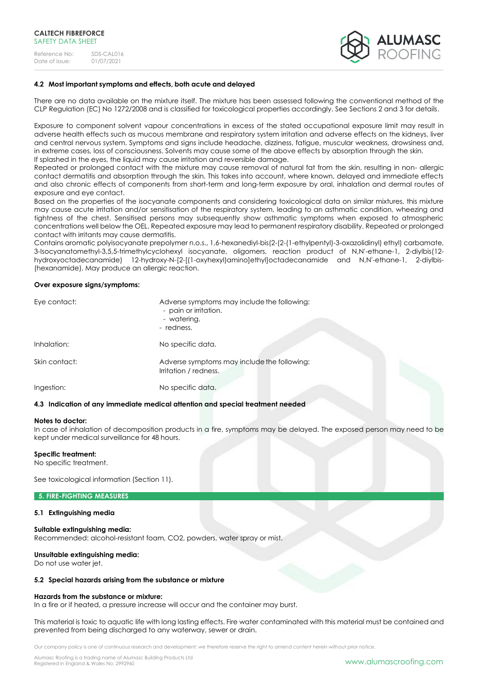

#### **4.2 Most important symptoms and effects, both acute and delayed**

There are no data available on the mixture itself. The mixture has been assessed following the conventional method of the CLP Regulation (EC) No 1272/2008 and is classified for toxicological properties accordingly. See Sections 2 and 3 for details.

Exposure to component solvent vapour concentrations in excess of the stated occupational exposure limit may result in adverse health effects such as mucous membrane and respiratory system irritation and adverse effects on the kidneys, liver and central nervous system. Symptoms and signs include headache, dizziness, fatigue, muscular weakness, drowsiness and, in extreme cases, loss of consciousness. Solvents may cause some of the above effects by absorption through the skin. If splashed in the eyes, the liquid may cause irritation and reversible damage.

Repeated or prolonged contact with the mixture may cause removal of natural fat from the skin, resulting in non- allergic contact dermatitis and absorption through the skin. This takes into account, where known, delayed and immediate effects and also chronic effects of components from short-term and long-term exposure by oral, inhalation and dermal routes of exposure and eye contact.

Based on the properties of the isocyanate components and considering toxicological data on similar mixtures, this mixture may cause acute irritation and/or sensitisation of the respiratory system, leading to an asthmatic condition, wheezing and tightness of the chest. Sensitised persons may subsequently show asthmatic symptoms when exposed to atmospheric concentrations well below the OEL. Repeated exposure may lead to permanent respiratory disability. Repeated or prolonged contact with irritants may cause dermatitis.

Contains aromatic polyisocyanate prepolymer n.o.s., 1,6-hexanediyl-bis(2-(2-(1-ethylpentyl)-3-oxazolidinyl) ethyl) carbamate, 3-Isocyanatomethyl-3,5,5-trimethylcyclohexyl isocyanate, oligomers, reaction product of N,N'-ethane-1, 2-diylbis(12 hydroxyoctadecanamide) 12-hydroxy-N-[2-[(1-oxyhexyl)amino]ethyl]octadecanamide and N,N'-ethane-1, 2-diylbis- (hexanamide). May produce an allergic reaction.

#### **Over exposure signs/symptoms:**

| Eye contact:  | Adverse symptoms may include the following:<br>- pain or irritation.<br>- watering.<br>- redness. |
|---------------|---------------------------------------------------------------------------------------------------|
| Inhalation:   | No specific data.                                                                                 |
| Skin contact: | Adverse symptoms may include the following:<br>Irritation / redness.                              |
| Ingestion:    | No specific data.                                                                                 |

#### **4.3 Indication of any immediate medical attention and special treatment needed**

#### **Notes to doctor:**

In case of inhalation of decomposition products in a fire, symptoms may be delayed. The exposed person may need to be kept under medical surveillance for 48 hours.

#### **Specific treatment:**

No specific treatment.

See toxicological information (Section 11).

# **5. FIRE-FIGHTING MEASURES**

#### **5.1 Extinguishing media**

#### **Suitable extinguishing media:**

Recommended: alcohol-resistant foam, CO2, powders, water spray or mist.

#### **Unsuitable extinguishing media:**

Do not use water jet.

#### **5.2 Special hazards arising from the substance or mixture**

#### **Hazards from the substance or mixture:**

In a fire or if heated, a pressure increase will occur and the container may burst.

This material is toxic to aquatic life with long lasting effects. Fire water contaminated with this material must be contained and prevented from being discharged to any waterway, sewer or drain.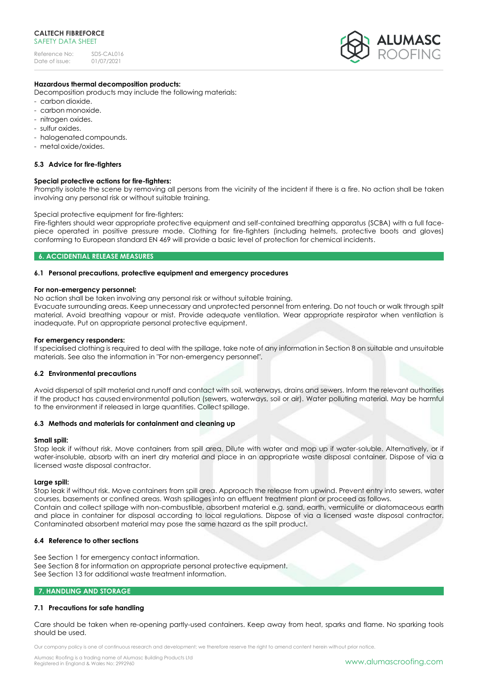Reference No: SDS-CAL016<br>Date of issue: 01/07/2021 Date of issue:



#### **Hazardous thermal decomposition products:**

Decomposition products may include the following materials:

- carbon dioxide.
- carbon monoxide.
- nitrogen oxides.
- sulfur oxides.
- halogenated compounds.
- metal oxide/oxides.

#### **5.3 Advice for fire-fighters**

#### **Special protective actions for fire-fighters:**

Promptly isolate the scene by removing all persons from the vicinity of the incident if there is a fire. No action shall be taken involving any personal risk or without suitable training.

#### Special protective equipment for fire-fighters:

Fire-fighters should wear appropriate protective equipment and self-contained breathing apparatus (SCBA) with a full facepiece operated in positive pressure mode. Clothing for fire-fighters (including helmets, protective boots and gloves) conforming to European standard EN 469 will provide a basic level of protection for chemical incidents.

#### **6. ACCIDENTIAL RELEASE MEASURES**

#### **6.1 Personal precautions, protective equipment and emergency procedures**

#### **For non-emergency personnel:**

No action shall be taken involving any personal risk or without suitable training.

Evacuate surrounding areas. Keep unnecessary and unprotected personnel from entering. Do not touch or walk through spilt material. Avoid breathing vapour or mist. Provide adequate ventilation. Wear appropriate respirator when ventilation is inadequate. Put on appropriate personal protective equipment.

#### **For emergency responders:**

If specialised clothing is required to deal with the spillage, take note of any information in Section 8 on suitable and unsuitable materials. See also the information in "For non-emergency personnel".

#### **6.2 Environmental precautions**

Avoid dispersal of spilt material and runoff and contact with soil, waterways, drains and sewers. Inform the relevant authorities if the product has caused environmental pollution (sewers, waterways, soil or air). Water polluting material. May be harmful to the environment if released in large quantities. Collect spillage.

#### **6.3 Methods and materials for containment and cleaning up**

#### **Small spill:**

Stop leak if without risk. Move containers from spill area. Dilute with water and mop up if water-soluble. Alternatively, or if water-insoluble, absorb with an inert dry material and place in an appropriate waste disposal container. Dispose of via a licensed waste disposal contractor.

#### **Large spill:**

Stop leak if without risk. Move containers from spill area. Approach the release from upwind. Prevent entry into sewers, water courses, basements or confined areas. Wash spillages into an effluent treatment plant or proceed as follows. Contain and collect spillage with non-combustible, absorbent material e.g. sand, earth, vermiculite or diatomaceous earth and place in container for disposal according to local regulations. Dispose of via a licensed waste disposal contractor. Contaminated absorbent material may pose the same hazard as the spilt product.

#### **6.4 Reference to other sections**

See Section 1 for emergency contact information. See Section 8 for information on appropriate personal protective equipment. See Section 13 for additional waste treatment information.

#### **7. HANDLING AND STORAGE**

#### **7.1 Precautions for safe handling**

Care should be taken when re-opening partly-used containers. Keep away from heat, sparks and flame. No sparking tools should be used.

Our company policy is one of continuous research and development; we therefore reserve the right to amend content herein without prior notice.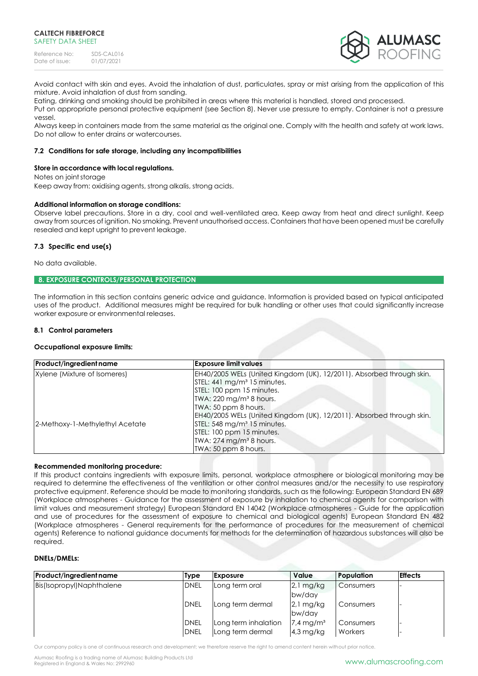

Avoid contact with skin and eyes. Avoid the inhalation of dust, particulates, spray or mist arising from the application of this mixture. Avoid inhalation of dust from sanding.

Eating, drinking and smoking should be prohibited in areas where this material is handled, stored and processed.

Put on appropriate personal protective equipment (see Section 8). Never use pressure to empty. Container is not a pressure vessel.

Always keep in containers made from the same material as the original one. Comply with the health and safety at work laws. Do not allow to enter drains or watercourses.

## **7.2 Conditions for safe storage, including any incompatibilities**

#### **Store in accordance with local regulations.**

Notes on joint storage

Keep away from: oxidising agents, strong alkalis, strong acids.

#### **Additional information on storage conditions:**

Observe label precautions. Store in a dry, cool and well-ventilated area. Keep away from heat and direct sunlight. Keep away from sources of ignition. No smoking. Prevent unauthorised access. Containers that have been opened must be carefully resealed and kept upright to prevent leakage.

# **7.3 Specific end use(s)**

No data available.

# **8. EXPOSURE CONTROLS/PERSONAL PROTECTION**

The information in this section contains generic advice and guidance. Information is provided based on typical anticipated uses of the product. Additional measures might be required for bulk handling or other uses that could significantly increase worker exposure or environmental releases.

#### **8.1 Control parameters**

#### **Occupational exposure limits:**

| Product/ingredient name         | <b>Exposure limit values</b>                                          |
|---------------------------------|-----------------------------------------------------------------------|
| Xylene (Mixture of Isomeres)    | EH40/2005 WELs (United Kingdom (UK), 12/2011). Absorbed through skin. |
|                                 | STEL: 441 mg/m <sup>3</sup> 15 minutes.                               |
|                                 | STEL: 100 ppm 15 minutes.                                             |
|                                 | TWA: $220 \text{ mg/m}^3$ 8 hours.                                    |
|                                 | TWA: 50 ppm 8 hours.                                                  |
|                                 | EH40/2005 WELs (United Kingdom (UK), 12/2011). Absorbed through skin. |
| 2-Methoxy-1-Methylethyl Acetate | STEL: 548 mg/m <sup>3</sup> 15 minutes.                               |
|                                 | STEL: 100 ppm 15 minutes.                                             |
|                                 | TWA: $274$ mg/m <sup>3</sup> 8 hours.                                 |
|                                 | TWA: 50 ppm 8 hours.                                                  |

#### **Recommended monitoring procedure:**

If this product contains ingredients with exposure limits, personal, workplace atmosphere or biological monitoring may be required to determine the effectiveness of the ventilation or other control measures and/or the necessity to use respiratory protective equipment. Reference should be made to monitoring standards, such as the following: European Standard EN 689 (Workplace atmospheres - Guidance for the assessment of exposure by inhalation to chemical agents for comparison with limit values and measurement strategy) European Standard EN 14042 (Workplace atmospheres - Guide for the application and use of procedures for the assessment of exposure to chemical and biological agents) European Standard EN 482 (Workplace atmospheres - General requirements for the performance of procedures for the measurement of chemical agents) Reference to national guidance documents for methods for the determination of hazardous substances will also be required.

#### **DNELs/DMELs:**

| Product/ingredient name   | <b>Type</b>                | <b>Exposure</b>                          | Value                                | Population           | <b>Effects</b> |
|---------------------------|----------------------------|------------------------------------------|--------------------------------------|----------------------|----------------|
| Bis(Isopropyl)Naphthalene | <b>DNEL</b>                | Long term oral                           | $2l$ mg/kg<br>bw/day                 | Consumers            |                |
|                           | <b>IDNEL</b>               | Long term dermal                         | $2i$ mg/kg<br>bw/day                 | Consumers            |                |
|                           | <b>DNEL</b><br><b>DNEL</b> | Long term inhalation<br>Long term dermal | $7.4 \,\mathrm{mg/m^3}$<br>4,3 mg/kg | Consumers<br>Workers |                |

Our company policy is one of continuous research and development; we therefore reserve the right to amend content herein without prior notice.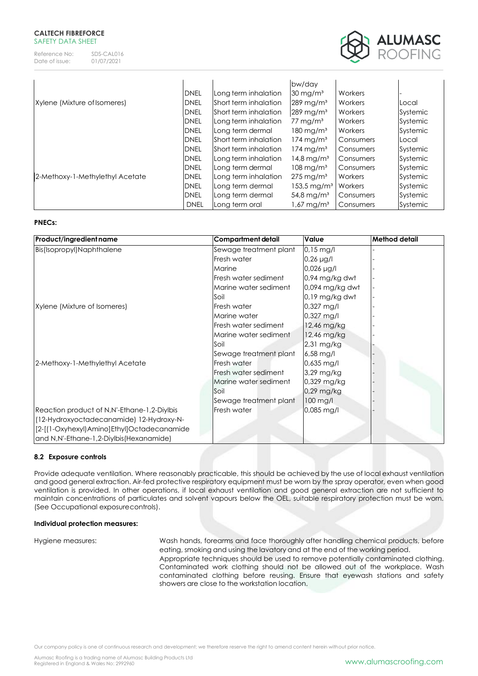

|                                 |             |                       | bw/day                    |           |          |
|---------------------------------|-------------|-----------------------|---------------------------|-----------|----------|
|                                 | <b>DNEL</b> | Long term inhalation  | $30 \,\mathrm{mg/m^3}$    | Workers   |          |
| Xylene (Mixture of Isomeres)    | <b>DNEL</b> | Short term inhalation | $289$ mg/m <sup>3</sup>   | Workers   | Local    |
|                                 | <b>DNEL</b> | Short term inhalation | $289$ mg/m <sup>3</sup>   | Workers   | Systemic |
|                                 | <b>DNEL</b> | Long term inhalation  | 77 mg/m $\rm{^3}$         | Workers   | Systemic |
|                                 | <b>DNEL</b> | Long term dermal      | $180 \,\mathrm{mg/m^3}$   | Workers   | Systemic |
|                                 | <b>DNEL</b> | Short term inhalation | $174 \,\mathrm{mg/m^3}$   | Consumers | Local    |
|                                 | <b>DNEL</b> | Short term inhalation | $174$ mg/m <sup>3</sup>   | Consumers | Systemic |
|                                 | <b>DNEL</b> | Long term inhalation  | $14,8 \,\mathrm{mg/m^3}$  | Consumers | Systemic |
|                                 | <b>DNEL</b> | Long term dermal      | $108 \,\mathrm{mg/m^3}$   | Consumers | Systemic |
| 2-Methoxy-1-Methylethyl Acetate | <b>DNEL</b> | Long term inhalation  | $275 \,\mathrm{mg/m^3}$   | Workers   | Systemic |
|                                 | <b>DNEL</b> | Long term dermal      | $153.5 \,\mathrm{mg/m^3}$ | Workers   | Systemic |
|                                 | <b>DNEL</b> | Long term dermal      | $54,8 \,\mathrm{mg/m^3}$  | Consumers | Systemic |
|                                 | <b>DNEL</b> | Long term oral        | 1,67 mg/mª                | Consumers | Systemic |

# **PNECs:**

| Product/ingredient name                     | <b>Compartment detail</b> | Value                  | <b>Method detail</b> |
|---------------------------------------------|---------------------------|------------------------|----------------------|
| Bis(Isopropyl)Naphthalene                   | Sewage treatment plant    | $0.15$ mg/l            |                      |
|                                             | Fresh water               | $0,26 \mu g/l$         |                      |
|                                             | Marine                    | $0,026 \mu g/l$        |                      |
|                                             | Fresh water sediment      | 0,94 mg/kg dwt         |                      |
|                                             | Marine water sediment     | 0,094 mg/kg dwt        |                      |
|                                             | Soil                      | $0.19$ mg/kg dwt       |                      |
| Xylene (Mixture of Isomeres)                | Fresh water               | $0,327$ mg/l           |                      |
|                                             | Marine water              | $0,327$ mg/l           |                      |
|                                             | Fresh water sediment      | 12,46 mg/kg            |                      |
|                                             | Marine water sediment     | 12,46 mg/kg            |                      |
|                                             | Soil                      | 2,31 mg/kg             |                      |
|                                             | Sewage treatment plant    | $6,58 \,\mathrm{mg/l}$ |                      |
| 2-Methoxy-1-Methylethyl Acetate             | Fresh water               | $0,635$ mg/l           |                      |
|                                             | Fresh water sediment      | $3,29$ mg/kg           |                      |
|                                             | Marine water sediment     | 0,329 mg/kg            |                      |
|                                             | Soil                      | $0.29$ mg/kg           |                      |
|                                             | Sewage treatment plant    | 100 mg/l               |                      |
| Reaction product of N,N'-Ethane-1,2-Diylbis | Fresh water               | $0,085$ mg/l           |                      |
| (12-Hydroxyoctadecanamide) 12-Hydroxy-N-    |                           |                        |                      |
| [2-[(1-Oxyhexyl)Amino]Ethyl]Octadecanamide  |                           |                        |                      |
| and N,N'-Ethane-1,2-Diylbis(Hexanamide)     |                           |                        |                      |

#### **8.2 Exposure controls**

Provide adequate ventilation. Where reasonably practicable, this should be achieved by the use of local exhaust ventilation and good general extraction. Air-fed protective respiratory equipment must be worn by the spray operator, even when good ventilation is provided. In other operations, if local exhaust ventilation and good general extraction are not sufficient to maintain concentrations of particulates and solvent vapours below the OEL, suitable respiratory protection must be worn. (See Occupational exposurecontrols).

#### **Individual protection measures:**

Hygiene measures: Wash hands, forearms and face thoroughly after handling chemical products, before eating, smoking and using the lavatory and at the end of the working period. Appropriate techniques should be used to remove potentially contaminated clothing. Contaminated work clothing should not be allowed out of the workplace. Wash contaminated clothing before reusing. Ensure that eyewash stations and safety showers are close to the workstation location.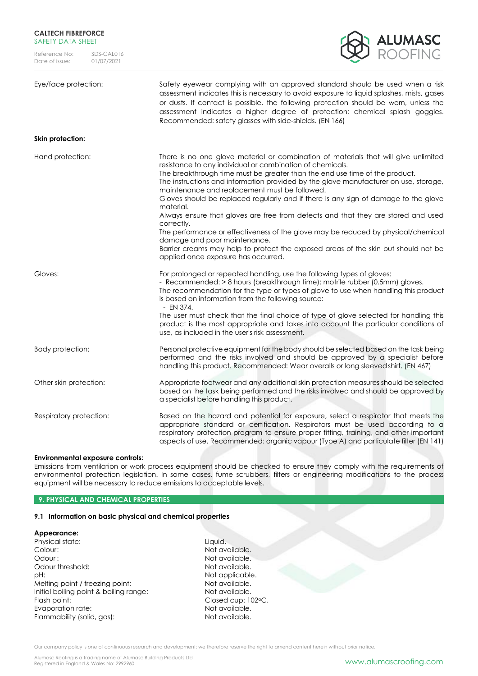

**Skin protection:**

Eye/face protection: Safety eyewear complying with an approved standard should be used when a risk assessment indicates this is necessary to avoid exposure to liquid splashes, mists, gases or dusts. If contact is possible, the following protection should be worn, unless the assessment indicates a higher degree of protection: chemical splash goggles. Recommended: safety glasses with side-shields. (EN 166)

# Hand protection: There is no one glove material or combination of materials that will give unlimited resistance to any individual or combination of chemicals. The breakthrough time must be greater than the end use time of the product. The instructions and information provided by the glove manufacturer on use, storage, maintenance and replacement must be followed. Gloves should be replaced regularly and if there is any sign of damage to the glove material. Always ensure that gloves are free from defects and that they are stored and used correctly. The performance or effectiveness of the glove may be reduced by physical/chemical damage and poor maintenance. Barrier creams may help to protect the exposed areas of the skin but should not be applied once exposure has occurred. Gloves: For prolonged or repeated handling, use the following types of gloves: - Recommended: > 8 hours (breakthrough time): motrile rubber (0.5mm) gloves. The recommendation for the type or types of glove to use when handling this product is based on information from the following source: - EN 374. The user must check that the final choice of type of glove selected for handling this product is the most appropriate and takes into account the particular conditions of use, as included in the user's risk assessment. Body protection: Personal protective equipment for the body should be selected based on the task being performed and the risks involved and should be approved by a specialist before handling this product. Recommended: Wear overalls or long sleevedshirt. (EN 467) Other skin protection: Appropriate footwear and any additional skin protection measures should be selected based on the task being performed and the risks involved and should be approved by a specialist before handling this product. Respiratory protection: Based on the hazard and potential for exposure, select a respirator that meets the appropriate standard or certification. Respirators must be used according to a respiratory protection program to ensure proper fitting, training, and other important aspects of use. Recommended: organic vapour (Type A) and particulate filter (EN 141)

#### **Environmental exposure controls:**

Emissions from ventilation or work process equipment should be checked to ensure they comply with the requirements of environmental protection legislation. In some cases, fume scrubbers, filters or engineering modifications to the process equipment will be necessary to reduce emissions to acceptable levels.

#### **9. PHYSICAL AND CHEMICAL PROPERTIES**

#### **9.1 Information on basic physical and chemical properties**

#### **Appearance:**

Physical state: Liquid. Colour: Not available. Odour : Not available. Odour threshold: Not available. pH:  $P$ Melting point / freezing point: Not available. Initial boiling point & boiling range: Not available. Flash point: Closed cup: 102 °C. Evaporation rate: Not available. Flammability (solid, gas): Not available.

Our company policy is one of continuous research and development; we therefore reserve the right to amend content herein without prior notice.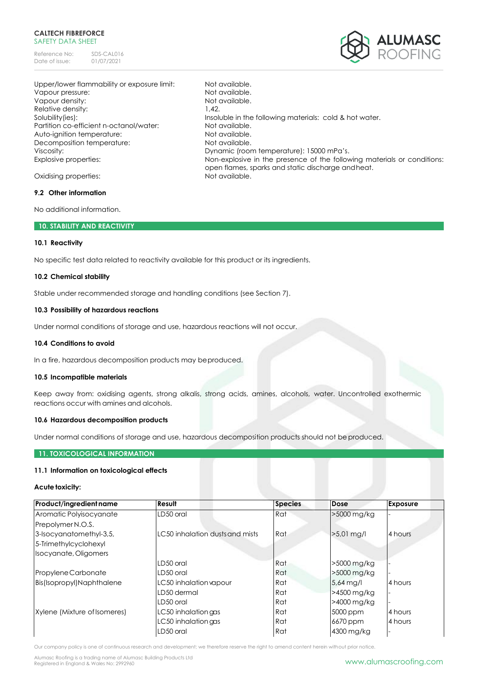Reference No: SDS-CAL016<br>Date of issue: 01/07/2021 Date of issue:



Upper/lower flammability or exposure limit: Not available. Vapour pressure:  $\blacksquare$ Vapour density:  $\blacksquare$ Relative density: 1,42. Solubility(ies): Insoluble in the following materials: cold & hot water. Partition co-efficient n-octanol/water: Not available.<br>Auto-ignition temperature: Not available. Auto-ignition temperature: Decomposition temperature: Not available. Viscosity: Dynamic (room temperature): 15000 mPa's. Explosive properties: Non-explosive in the presence of the following materials or conditions:

Oxidising properties: Not available.

#### **9.2 Other information**

No additional information.

### **10. STABILITY AND REACTIVITY**

#### **10.1 Reactivity**

No specific test data related to reactivity available for this product or its ingredients.

#### **10.2 Chemical stability**

Stable under recommended storage and handling conditions (see Section 7).

#### **10.3 Possibility of hazardous reactions**

Under normal conditions of storage and use, hazardous reactions will not occur.

#### **10.4 Conditions to avoid**

In a fire, hazardous decomposition products may beproduced.

#### **10.5 Incompatible materials**

Keep away from: oxidising agents, strong alkalis, strong acids, amines, alcohols, water. Uncontrolled exothermic reactions occur with amines and alcohols.

open flames, sparks and static discharge andheat.

#### **10.6 Hazardous decomposition products**

Under normal conditions of storage and use, hazardous decomposition products should not be produced.

# **11. TOXICOLOGICAL INFORMATION**

## **11.1 Information on toxicological effects**

#### **Acute toxicity:**

| Product/ingredient name      | Result                          | <b>Species</b> | Dose        | <b>Exposure</b> |
|------------------------------|---------------------------------|----------------|-------------|-----------------|
| Aromatic Polyisocyanate      | LD50 oral                       | Rat            | >5000 mg/kg |                 |
| Prepolymer N.O.S.            |                                 |                |             |                 |
| 3-Isocyanatomethyl-3,5,      | LC50 inhalation dusts and mists | Rat            | >5,01 mg/l  | 4 hours         |
| 5-Trimethylcyclohexyl        |                                 |                |             |                 |
| Isocyanate, Oligomers        |                                 |                |             |                 |
|                              | LD50 oral                       | Rat            | >5000 mg/kg |                 |
| Propylene Carbonate          | LD50 oral                       | Rat            | >5000 mg/kg |                 |
| Bis(Isopropyl)Naphthalene    | LC50 inhalation vapour          | Rat            | $5.64$ mg/l | 4 hours         |
|                              | LD50 dermal                     | Rat            | >4500 mg/kg |                 |
|                              | LD50 oral                       | Rat            | >4000 mg/kg |                 |
| Xylene (Mixture of Isomeres) | LC50 inhalation gas             | Rat            | 5000 ppm    | 4 hours         |
|                              | LC50 inhalation gas             | Rat            | 6670 ppm    | 4 hours         |
|                              | LD50 oral                       | Rat            | 4300 mg/kg  |                 |

Our company policy is one of continuous research and development; we therefore reserve the right to amend content herein without prior notice.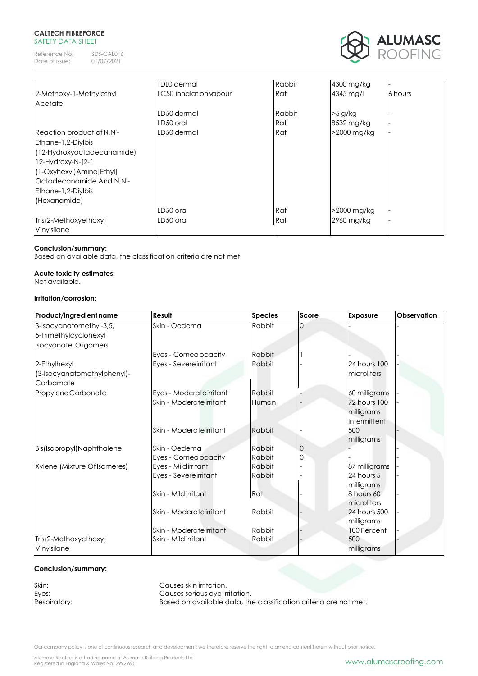Reference No: SDS-CAL016<br>Date of issue: 01/07/2021 Date of issue:



|                             | <b>TDL0</b> dermal     | Rabbit | 4300 mg/kg  |         |
|-----------------------------|------------------------|--------|-------------|---------|
| 2-Methoxy-1-Methylethyl     | LC50 inhalation vapour | Rat    | 4345 mg/l   | 6 hours |
| Acetate                     |                        |        |             |         |
|                             | LD50 dermal            | Rabbit | $>5$ g/kg   |         |
|                             | LD50 oral              | Rat    | 8532 mg/kg  |         |
| Reaction product of N,N'-   | LD50 dermal            | Rat    | >2000 mg/kg |         |
| Ethane-1,2-Diylbis          |                        |        |             |         |
| (12-Hydroxyoctadecanamide)  |                        |        |             |         |
| $12$ -Hydroxy-N- $[2$ - $[$ |                        |        |             |         |
| [1-Oxyhexyl]Amino]Ethyl]    |                        |        |             |         |
| Octadecanamide And N.N'-    |                        |        |             |         |
| <b>Ethane-1,2-Diylbis</b>   |                        |        |             |         |
| (Hexanamide)                |                        |        |             |         |
|                             | LD50 oral              | Rat    | >2000 mg/kg |         |
| Tris(2-Methoxyethoxy)       | LD50 oral              | Rat    | 2960 mg/kg  |         |
| Vinylsilane                 |                        |        |             |         |

# **Conclusion/summary:**

Based on available data, the classification criteria are not met.

# **Acute toxicity estimates:**

Not available.

# **Irritation/corrosion:**

| Product/ingredient name                  | Result                   | <b>Species</b> | <b>Score</b> | Exposure                                          | <b>Observation</b> |
|------------------------------------------|--------------------------|----------------|--------------|---------------------------------------------------|--------------------|
| 3-Isocyanatomethyl-3,5,                  | Skin - Oedema            | Rabbit         | $\Omega$     |                                                   |                    |
| 5-Trimethylcyclohexyl                    |                          |                |              |                                                   |                    |
| Isocyanate, Oligomers                    |                          |                |              |                                                   |                    |
|                                          | Eyes - Cornea opacity    | Rabbit         |              |                                                   |                    |
| 2-Ethylhexyl                             | Eyes - Severe irritant   | Rabbit         |              | 24 hours 100                                      |                    |
| (3-Isocyanatomethylphenyl)-<br>Carbamate |                          |                |              | microliters                                       |                    |
| Propylene Carbonate                      | Eyes - Moderateirritant  | Rabbit         |              | 60 milligrams                                     |                    |
|                                          | Skin - Moderate irritant | Human          |              | <b>72 hours 100</b><br>milligrams<br>Intermittent |                    |
|                                          | Skin - Moderate irritant | Rabbit         |              | 500<br>milligrams                                 |                    |
| Bis(Isopropyl)Naphthalene                | Skin - Oedema            | Rabbit         | IO           |                                                   |                    |
|                                          | Eyes - Cornea opacity    | Rabbit         |              |                                                   |                    |
| Xylene (Mixture Of Isomeres)             | Eyes - Mildirritant      | Rabbit         |              | 87 milligrams                                     |                    |
|                                          | Eyes - Severeirritant    | Rabbit         |              | 24 hours 5<br>milligrams                          |                    |
|                                          | Skin - Mildirritant      | Rat            |              | 8 hours 60<br>microliters                         |                    |
|                                          | Skin - Moderate irritant | Rabbit         |              | 24 hours 500<br>milligrams                        |                    |
|                                          | Skin - Moderate irritant | Rabbit         |              | 100 Percent                                       |                    |
| Tris(2-Methoxyethoxy)<br>Vinylsilane     | Skin - Mildirritant      | Rabbit         |              | 500<br>milligrams                                 |                    |

# **Conclusion/summary:**

Skin: Causes skin irritation.<br>
Eyes: Causes serious eye in

Eyes: Causes serious eye irritation.<br>
Respiratory: Based on available data, the Based on available data, the classification criteria are not met.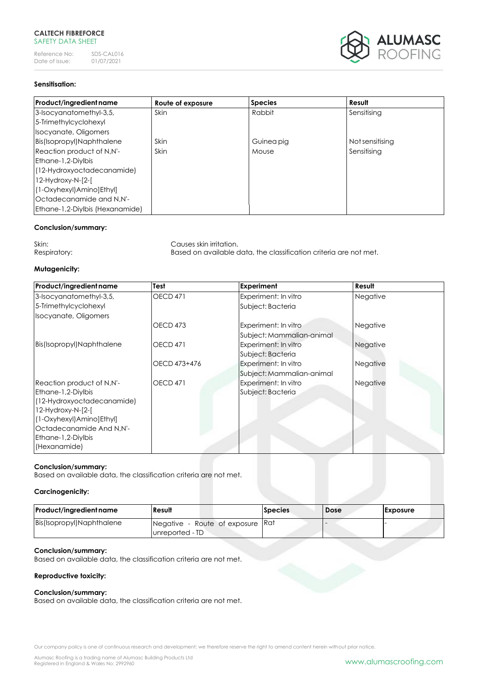Reference No: SDS-CAL016<br>Date of issue: 01/07/2021 Date of issue:



# **Sensitisation:**

| Product/ingredient name          | Route of exposure | <b>Species</b> | Result          |
|----------------------------------|-------------------|----------------|-----------------|
| 3-Isocyanatomethyl-3,5,          | Skin              | Rabbit         | Sensitising     |
| 5-Trimethylcyclohexyl            |                   |                |                 |
| Isocyanate, Oligomers            |                   |                |                 |
| Bis(Isopropyl)Naphthalene        | Skin              | Guinea pig     | Not sensitising |
| Reaction product of N,N'-        | Skin              | Mouse          | Sensitisina     |
| <b>Ethane-1,2-Divibis</b>        |                   |                |                 |
| (12-Hydroxyoctadecanamide)       |                   |                |                 |
| 12-Hydroxy-N-[2-[                |                   |                |                 |
| [(1-Oxyhexyl)Amino]Ethyl]        |                   |                |                 |
| Octadecanamide and N,N'-         |                   |                |                 |
| [Ethane-1,2-Diylbis (Hexanamide) |                   |                |                 |

#### **Conclusion/summary:**

Skin: Causes skin irritation. Respiratory: Based on available data, the classification criteria are not met.

# **Mutagenicity:**

| Product/ingredient name    | Test                                    | <b>Experiment</b>         | Result   |
|----------------------------|-----------------------------------------|---------------------------|----------|
| 3-Isocyanatomethyl-3,5,    | <b>OECD 471</b><br>Experiment: In vitro |                           | Negative |
| 5-Trimethylcyclohexyl      |                                         | Subject: Bacteria         |          |
| Isocyanate, Oligomers      |                                         |                           |          |
|                            | OECD <sub>473</sub>                     | Experiment: In vitro      | Negative |
|                            |                                         | Subject: Mammalian-animal |          |
| Bis(Isopropyl)Naphthalene  | <b>OECD 471</b>                         | Experiment: In vitro      | Negative |
|                            |                                         | Subject: Bacteria         |          |
|                            | OECD 473+476                            | Experiment: In vitro      | Negative |
|                            |                                         | Subject: Mammalian-animal |          |
| Reaction product of N,N'-  | OECD 471                                | Experiment: In vitro      | Negative |
| <b>Ethane-1,2-Divibis</b>  |                                         | Subject: Bacteria         |          |
| (12-Hydroxyoctadecanamide) |                                         |                           |          |
| 12-Hydroxy-N-[2-[          |                                         |                           |          |
| (1-Oxyhexyl) Amino] Ethyl] |                                         |                           |          |
| Octadecanamide And N,N'-   |                                         |                           |          |
| Ethane-1,2-Diylbis         |                                         |                           |          |
| (Hexanamide)               |                                         |                           |          |

#### **Conclusion/summary:**

Based on available data, the classification criteria are not met.

# **Carcinogenicity:**

| <b>Product/ingredient name</b> | Result                                               | <b>Species</b> | <b>Dose</b> | <b>Exposure</b> |
|--------------------------------|------------------------------------------------------|----------------|-------------|-----------------|
| Bis(Isopropyl)Naphthalene      | Negative - Route of exposure Rat<br>lunreported - TD |                |             |                 |

#### **Conclusion/summary:**

Based on available data, the classification criteria are not met.

#### **Reproductive toxicity:**

# **Conclusion/summary:**

Based on available data, the classification criteria are not met.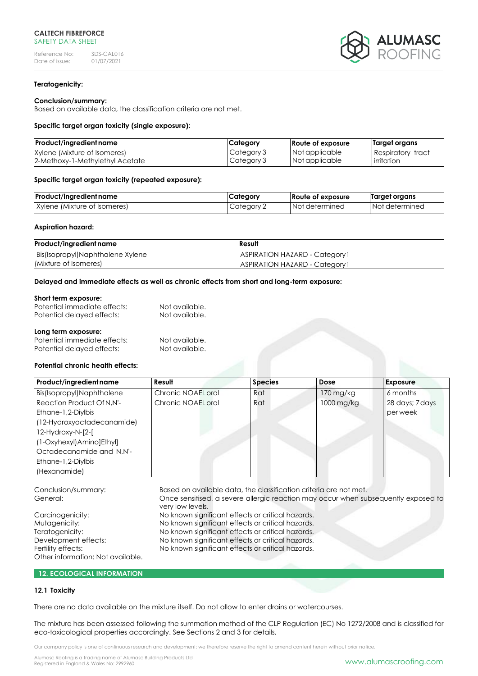

#### **Teratogenicity:**

#### **Conclusion/summary:**

Based on available data, the classification criteria are not met.

#### **Specific target organ toxicity (single exposure):**

| Product/ingredient name         | Category   | Route of exposure | Target organs            |
|---------------------------------|------------|-------------------|--------------------------|
| Xylene (Mixture of Isomeres)    | Category 3 | Not applicable    | <b>Respiratory tract</b> |
| 2-Methoxy-1-Methylethyl Acetate | Category 3 | Not applicable    | irritation               |

#### **Specific target organ toxicity (repeated exposure):**

| Product/ingredient name      | Category     | Route of exposure | Target organs    |
|------------------------------|--------------|-------------------|------------------|
| Xylene (Mixture of Isomeres) | I Category 2 | I Not determined  | I Not determined |

#### **Aspiration hazard:**

| Product/ingredient name            | Result                                |
|------------------------------------|---------------------------------------|
| Bis(Isopropyl)Naphthalene Xylene   | <b>ASPIRATION HAZARD - Category 1</b> |
| <i><b>IMixture of Isomeres</b></i> | <b>ASPIRATION HAZARD - Category 1</b> |

#### **Delayed and immediate effects as well as chronic effects from short and long-term exposure:**

#### **Short term exposure:**

| Potential immediate effects: | Not available. |
|------------------------------|----------------|
| Potential delayed effects:   | Not available. |
|                              |                |
| Long term exposure:          |                |
| Potential immediate effects: | Not available. |

Potential delayed effects: Not available.

## **Potential chronic health effects:**

| Product/ingredient name    | Result             | <b>Species</b> | Dose       | <b>Exposure</b> |
|----------------------------|--------------------|----------------|------------|-----------------|
| Bis(Isopropyl)Naphthalene  | Chronic NOAEL oral | Rat            | 170 mg/kg  | 6 months        |
| Reaction Product Of N, N'- | Chronic NOAEL oral | Rat            | 1000 mg/kg | 28 days; 7 days |
| Ethane-1,2-Diylbis         |                    |                |            | per week        |
| (12-Hydroxyoctadecanamide) |                    |                |            |                 |
| 12-Hydroxy-N-[2-[          |                    |                |            |                 |
| (1-Oxyhexyl)Amino]Ethyl]   |                    |                |            |                 |
| Octadecanamide and N,N'-   |                    |                |            |                 |
| Ethane-1,2-Diylbis         |                    |                |            |                 |
| (Hexanamide)               |                    |                |            |                 |

Conclusion/summary: Based on available data, the classification criteria are not met. General: Once sensitised, a severe allergic reaction may occur when subsequently exposed to very low levels. Carcinogenicity: No known significant effects or critical hazards. Mutagenicity: Mutagenicity: No known significant effects or critical hazards. Teratogenicity: No known significant effects or critical hazards. Development effects: No known significant effects or critical hazards. Fertility effects: No known significant effects or critical hazards. Other information: Not available.

#### **12. ECOLOGICAL INFORMATION**

#### **12.1 Toxicity**

There are no data available on the mixture itself. Do not allow to enter drains or watercourses.

The mixture has been assessed following the summation method of the CLP Regulation (EC) No 1272/2008 and is classified for eco-toxicological properties accordingly. See Sections 2 and 3 for details.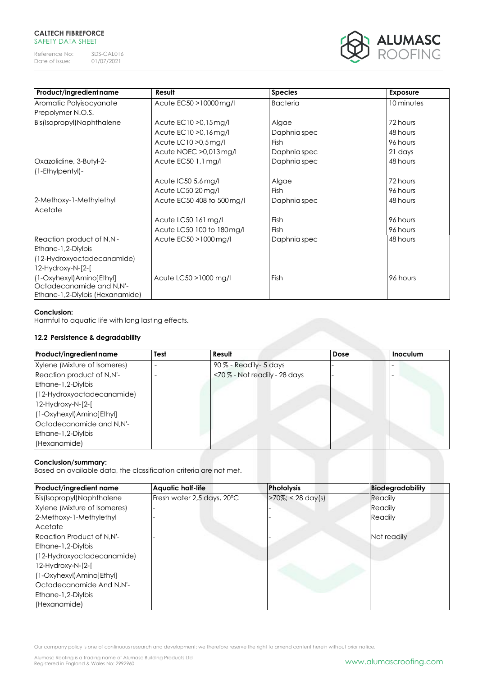Reference No: SDS-CAL016<br>Date of issue: 01/07/2021 Date of issue:



| Product/ingredient name         | Result                     | <b>Species</b>  | <b>Exposure</b> |
|---------------------------------|----------------------------|-----------------|-----------------|
| Aromatic Polyisocyanate         | Acute EC50 > 10000 mg/l    | <b>Bacteria</b> | 10 minutes      |
| Prepolymer N.O.S.               |                            |                 |                 |
| Bis(Isopropyl)Naphthalene       | Acute EC10 > 0,15 mg/l     | Algae           | 72 hours        |
|                                 | Acute EC10 > 0,16 mg/l     | Daphnia spec    | 48 hours        |
|                                 | Acute LC10 > 0,5 mg/l      | <b>Fish</b>     | 96 hours        |
|                                 | Acute NOEC > 0,013 mg/l    | Daphnia spec    | 21 days         |
| Oxazolidine, 3-Butyl-2-         | Acute EC50 1,1 mg/l        | Daphnia spec    | 48 hours        |
| (1-Ethylpentyl)-                |                            |                 |                 |
|                                 | Acute IC50 5,6 mg/l        | Algae           | 72 hours        |
|                                 | Acute LC50 20 mg/l         | <b>Fish</b>     | 96 hours        |
| 2-Methoxy-1-Methylethyl         | Acute EC50 408 to 500 mg/l | Daphnia spec    | 48 hours        |
| Acetate                         |                            |                 |                 |
|                                 | Acute LC50 161 mg/l        | <b>Fish</b>     | 96 hours        |
|                                 | Acute LC50 100 to 180mg/l  | <b>Fish</b>     | 96 hours        |
| Reaction product of N,N'-       | Acute EC50 > 1000 mg/l     | Daphnia spec    | 48 hours        |
| Ethane-1,2-Diylbis              |                            |                 |                 |
| (12-Hydroxyoctadecanamide)      |                            |                 |                 |
| 12-Hydroxy-N-[2-[               |                            |                 |                 |
| (1-Oxyhexyl) Amino] Ethyl]      | Acute LC50 > 1000 mg/l     | Fish            | 96 hours        |
| Octadecanamide and N,N'-        |                            |                 |                 |
| Ethane-1,2-Diylbis (Hexanamide) |                            |                 |                 |

# **Conclusion:**

Harmful to aquatic life with long lasting effects.

# **12.2 Persistence & degradability**

| Product/ingredient name      | Test | Result                       | Dose | <b>Inoculum</b> |
|------------------------------|------|------------------------------|------|-----------------|
| Xylene (Mixture of Isomeres) |      | 90 % - Readily - 5 days      |      |                 |
| Reaction product of N,N'-    |      | <70% - Not readily - 28 days |      |                 |
| <b>Ethane-1,2-Diylbis</b>    |      |                              |      |                 |
| (12-Hydroxyoctadecanamide)   |      |                              |      |                 |
| 12-Hydroxy-N-[2-[            |      |                              |      |                 |
| [1-Oxyhexyl]Amino]Ethyl]     |      |                              |      |                 |
| Octadecanamide and N,N'-     |      |                              |      |                 |
| <b>Ethane-1,2-Diylbis</b>    |      |                              |      |                 |
| (Hexanamide)                 |      |                              |      |                 |

# **Conclusion/summary:**

Based on available data, the classification criteria are not met.

| <b>Product/ingredient name</b>   | <b>Aquatic half-life</b>   | <b>Photolysis</b>     | Biodegradability |
|----------------------------------|----------------------------|-----------------------|------------------|
| Bis(Isopropyl)Naphthalene        | Fresh water 2,5 days, 20°C | $>70\%$ ; < 28 day(s) | Readily          |
| Xylene (Mixture of Isomeres)     |                            |                       | Readily          |
| 2-Methoxy-1-Methylethyl          |                            |                       | Readily          |
| Acetate                          |                            |                       |                  |
| <b>Reaction Product of N.N'-</b> |                            |                       | Not readily      |
| <b>Ethane-1,2-Divibis</b>        |                            |                       |                  |
| (12-Hydroxyoctadecanamide)       |                            |                       |                  |
| 12-Hydroxy-N-[2-[                |                            |                       |                  |
| (1-Oxyhexyl) Amino] Ethyl]       |                            |                       |                  |
| Octadecanamide And N,N'-         |                            |                       |                  |
| <b>Ethane-1,2-Divibis</b>        |                            |                       |                  |
| (Hexanamide)                     |                            |                       |                  |

Our company policy is one of continuous research and development; we therefore reserve the right to amend content herein without prior notice.

Alumasc Roofing is a trading name of Alumasc Building Products Ltd<br>Registered in England & Wales No: 2992960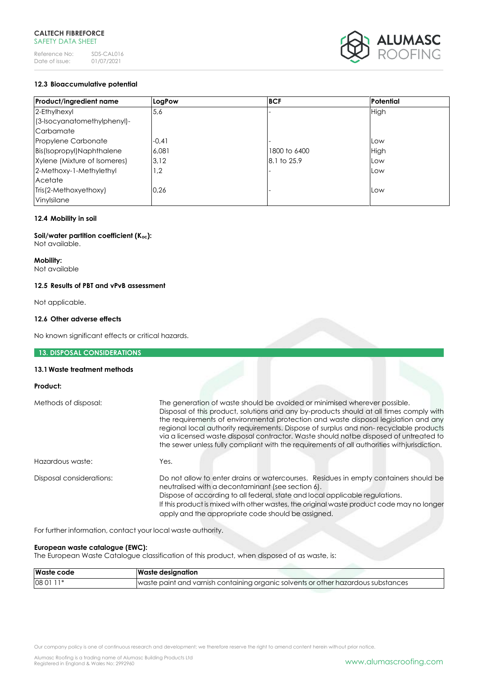

# **12.3 Bioaccumulative potential**

| <b>Product/ingredient name</b> | LogPow  | <b>BCF</b>   | Potential |
|--------------------------------|---------|--------------|-----------|
| 2-Ethylhexyl                   | 5,6     |              | High      |
| (3-Isocyanatomethylphenyl)-    |         |              |           |
| Carbamate                      |         |              |           |
| Propylene Carbonate            | $-0,41$ |              | Low       |
| Bis(Isopropyl)Naphthalene      | 6.081   | 1800 to 6400 | High      |
| Xylene (Mixture of Isomeres)   | 3,12    | 8.1 to 25.9  | Low       |
| 2-Methoxy-1-Methylethyl        | 1,2     |              | Low       |
| Acetate                        |         |              |           |
| Tris(2-Methoxyethoxy)          | 0,26    |              | Low       |
| Vinylsilane                    |         |              |           |

# **12.4 Mobility in soil**

**Soil/water partition coefficient (Koc):** Not available.

### **Mobility:**

Not available

#### **12.5 Results of PBT and vPvB assessment**

Not applicable.

#### **12.6 Other adverse effects**

No known significant effects or critical hazards.

# **13. DISPOSAL CONSIDERATIONS**

#### **13.1Waste treatment methods**

# **Product:**

| Methods of disposal:     | The generation of waste should be avoided or minimised wherever possible.<br>Disposal of this product, solutions and any by-products should at all times comply with<br>the requirements of environmental protection and waste disposal legislation and any<br>regional local authority requirements. Dispose of surplus and non-recyclable products<br>via a licensed waste disposal contractor. Waste should notbe disposed of untreated to<br>the sewer unless fully compliant with the requirements of all authorities with jurisdiction. |
|--------------------------|-----------------------------------------------------------------------------------------------------------------------------------------------------------------------------------------------------------------------------------------------------------------------------------------------------------------------------------------------------------------------------------------------------------------------------------------------------------------------------------------------------------------------------------------------|
| Hazardous waste:         | Yes.                                                                                                                                                                                                                                                                                                                                                                                                                                                                                                                                          |
| Disposal considerations: | Do not allow to enter drains or watercourses. Residues in empty containers should be<br>neutralised with a decontaminant (see section 6).<br>Dispose of according to all federal, state and local applicable regulations.<br>If this product is mixed with other wastes, the original waste product code may no longer<br>apply and the appropriate code should be assigned.                                                                                                                                                                  |

For further information, contact your local waste authority.

#### **European waste catalogue (EWC):**

The European Waste Catalogue classification of this product, when disposed of as waste, is:

| <b>Waste code</b> | <b>Waste designation</b>                                                          |
|-------------------|-----------------------------------------------------------------------------------|
| 08 01 11*         | waste paint and varnish containing organic solvents or other hazardous substances |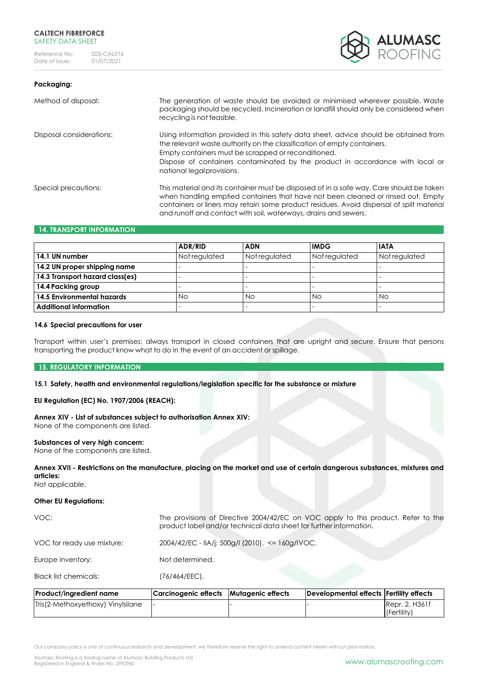



| Method of disposal:      | The generation of waste should be avoided or minimised wherever possible. Waste<br>packaging should be recycled. Incineration or landfill should only be considered when<br>recycling is not feasible.                                                                                                                                     |
|--------------------------|--------------------------------------------------------------------------------------------------------------------------------------------------------------------------------------------------------------------------------------------------------------------------------------------------------------------------------------------|
| Disposal considerations: | Using information provided in this safety data sheet, advice should be obtained from<br>the relevant waste authority on the classification of empty containers.<br>Empty containers must be scrapped or reconditioned.<br>Dispose of containers contaminated by the product in accordance with local or<br>national legal provisions.      |
| Special precautions:     | This material and its container must be disposed of in a safe way. Care should be taken<br>when handling emptied containers that have not been cleaned or rinsed out. Empty<br>containers or liners may retain some product residues. Avoid dispersal of spilt material<br>and runoff and contact with soil, waterways, drains and sewers. |

# **14. TRANSPORT INFORMATION**

|                                 | <b>ADR/RID</b> | <b>ADN</b>    | <b>IMDG</b>   | <b>IATA</b>   |
|---------------------------------|----------------|---------------|---------------|---------------|
| 14.1 UN number                  | Not regulated  | Not regulated | Not regulated | Not regulated |
| 14.2 UN proper shipping name    |                |               |               |               |
| 14.3 Transport hazard class(es) |                |               |               |               |
| 14.4 Packing group              |                |               |               |               |
| 14.5 Environmental hazards      | <b>No</b>      | Νo            | Νo            | No            |
| <b>Additional information</b>   |                |               |               |               |

#### **14.6 Special precautions for user**

Transport within user's premises: always transport in closed containers that are upright and secure. Ensure that persons transporting the product know what to do in the event of an accident or spillage.

#### **15. REGULATORY INFORMATION**

**15.1 Safety, health and environmental regulations/legislation specific for the substance or mixture**

# **EU Regulation (EC) No. 1907/2006 (REACH):**

# **Annex XIV - List of substances subject to authorisation Annex XIV:**

None of the components are listed.

# **Substances of very high concern:**

None of the components are listed.

**Annex XVII - Restrictions on the manufacture, placing on the market and use of certain dangerous substances, mixtures and articles:** 

Not applicable.

# **Other EU Regulations:**

| VOC:                       | The provisions of Directive 2004/42/EC on VOC apply to this product. Refer to the<br>product label and/or technical data sheet for further information. |
|----------------------------|---------------------------------------------------------------------------------------------------------------------------------------------------------|
| VOC for ready use mixture: | 2004/42/EC - IIA/j: 500g/l (2010). <= 160g/IVOC.                                                                                                        |
| Europe inventory:          | Not determined.                                                                                                                                         |
| Black list chemicals:      | $(76/464/EEC)$ .                                                                                                                                        |

| <b>Product/ingredient name</b>    | Carcinogenic effects Mutagenic effects | Developmental effects Fertility effects |                |
|-----------------------------------|----------------------------------------|-----------------------------------------|----------------|
| Tris(2-Methoxyethoxy) Vinylsilane |                                        |                                         | Repr. 2, H361f |
|                                   |                                        |                                         | (Fertility)    |

Our company policy is one of continuous research and development; we therefore reserve the right to amend content herein without prior notice.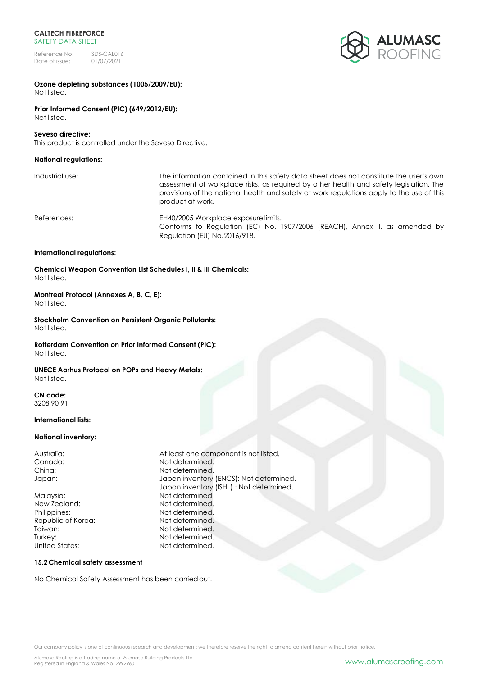Reference No: SDS-CAL016<br>Date of issue: 01/07/2021 Date of issue:



#### **Ozone depleting substances (1005/2009/EU):** Not listed.

**Prior Informed Consent (PIC) (649/2012/EU):** Not listed.

# **Seveso directive:**

This product is controlled under the Seveso Directive.

# **National regulations:**

| Industrial use: |  |
|-----------------|--|
|-----------------|--|

The information contained in this safety data sheet does not constitute the user's own assessment of workplace risks, as required by other health and safety legislation. The provisions of the national health and safety at work regulations apply to the use of this product at work.

References: EH40/2005 Workplace exposure limits. Conforms to Regulation (EC) No. 1907/2006 (REACH), Annex II, as amended by Regulation (EU) No.2016/918.

#### **International regulations:**

**Chemical Weapon Convention List Schedules I, II & III Chemicals:** Not listed.

#### **Montreal Protocol (Annexes A, B, C, E):** Not listed.

**Stockholm Convention on Persistent Organic Pollutants:** Not listed.

**Rotterdam Convention on Prior Informed Consent (PIC):** Not listed.

#### **UNECE Aarhus Protocol on POPs and Heavy Metals:** Not listed.

**CN code:**  3208 90 91

#### **International lists:**

#### **National inventory:**

Malaysia: Not determined New Zealand: Not determined. Philippines: Not determined. Republic of Korea: Not determined. Taiwan: Not determined. Turkey: Not determined. United States: Not determined.

Australia: At least one component is not listed. Canada: Canada: Not determined. China: Not determined. Japan: Japan inventory (ENCS): Not determined. Japan inventory (ISHL) : Not determined.

#### **15.2Chemical safety assessment**

No Chemical Safety Assessment has been carriedout.